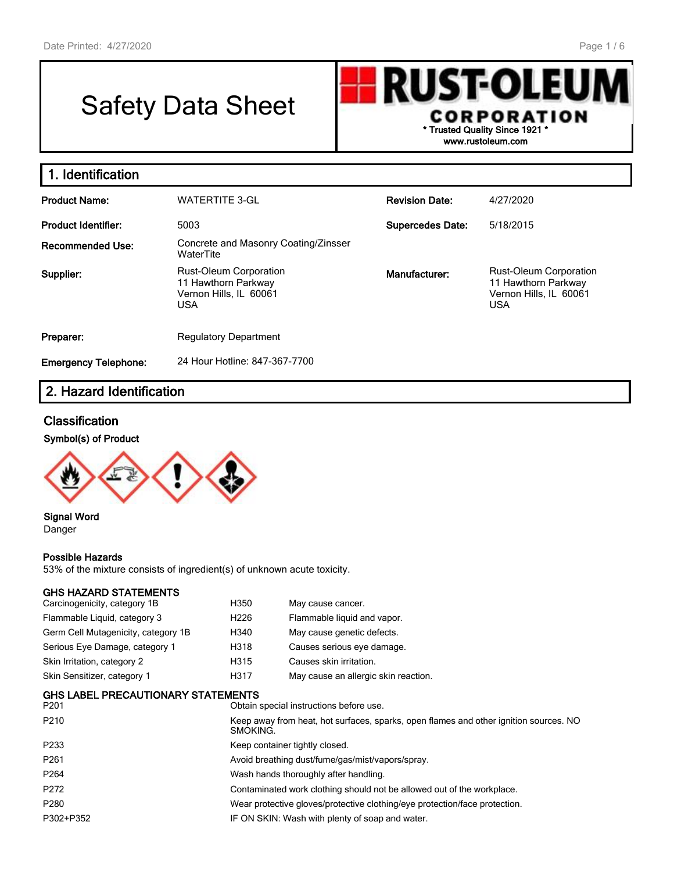# Safety Data Sheet



**www.rustoleum.com**

| 1. Identification           |                                                                                              |                         |                                                                                              |
|-----------------------------|----------------------------------------------------------------------------------------------|-------------------------|----------------------------------------------------------------------------------------------|
| <b>Product Name:</b>        | <b>WATERTITE 3-GL</b>                                                                        | <b>Revision Date:</b>   | 4/27/2020                                                                                    |
| Product Identifier:         | 5003                                                                                         | <b>Supercedes Date:</b> | 5/18/2015                                                                                    |
| <b>Recommended Use:</b>     | Concrete and Masonry Coating/Zinsser<br>WaterTite                                            |                         |                                                                                              |
| Supplier:                   | <b>Rust-Oleum Corporation</b><br>11 Hawthorn Parkway<br>Vernon Hills, IL 60061<br><b>USA</b> | Manufacturer:           | <b>Rust-Oleum Corporation</b><br>11 Hawthorn Parkway<br>Vernon Hills, IL 60061<br><b>USA</b> |
| Preparer:                   | <b>Regulatory Department</b>                                                                 |                         |                                                                                              |
| <b>Emergency Telephone:</b> | 24 Hour Hotline: 847-367-7700                                                                |                         |                                                                                              |

# **2. Hazard Identification**

# **Classification**

## **Symbol(s) of Product**



#### **Signal Word** Danger

## **Possible Hazards**

53% of the mixture consists of ingredient(s) of unknown acute toxicity.

## **GHS HAZARD STATEMENTS**

| Carcinogenicity, category 1B        | H350             | May cause cancer.                                                                                 |  |  |  |  |
|-------------------------------------|------------------|---------------------------------------------------------------------------------------------------|--|--|--|--|
| Flammable Liquid, category 3        | H <sub>226</sub> | Flammable liquid and vapor.                                                                       |  |  |  |  |
| Germ Cell Mutagenicity, category 1B | H340             | May cause genetic defects.                                                                        |  |  |  |  |
| Serious Eye Damage, category 1      | H318             | Causes serious eye damage.                                                                        |  |  |  |  |
| Skin Irritation, category 2         | H315             | Causes skin irritation.                                                                           |  |  |  |  |
| Skin Sensitizer, category 1         | H317             | May cause an allergic skin reaction.                                                              |  |  |  |  |
| GHS LABEL PRECAUTIONARY STATEMENTS  |                  |                                                                                                   |  |  |  |  |
| P201                                |                  | Obtain special instructions before use.                                                           |  |  |  |  |
| P210                                |                  | Keep away from heat, hot surfaces, sparks, open flames and other ignition sources. NO<br>SMOKING. |  |  |  |  |
| P233                                |                  | Keep container tightly closed.                                                                    |  |  |  |  |
| ----                                |                  |                                                                                                   |  |  |  |  |

- P261 **Avoid breathing dust/fume/gas/mist/vapors/spray.** Avoid breathing dust/fume/gas/mist/vapors/spray.
- P264 **Mash hands thoroughly after handling.** Wash hands thoroughly after handling.
- P272 Contaminated work clothing should not be allowed out of the workplace.
- P280 Wear protective gloves/protective clothing/eye protection/face protection.
- P302+P352 **IF ON SKIN: Wash with plenty of soap and water.**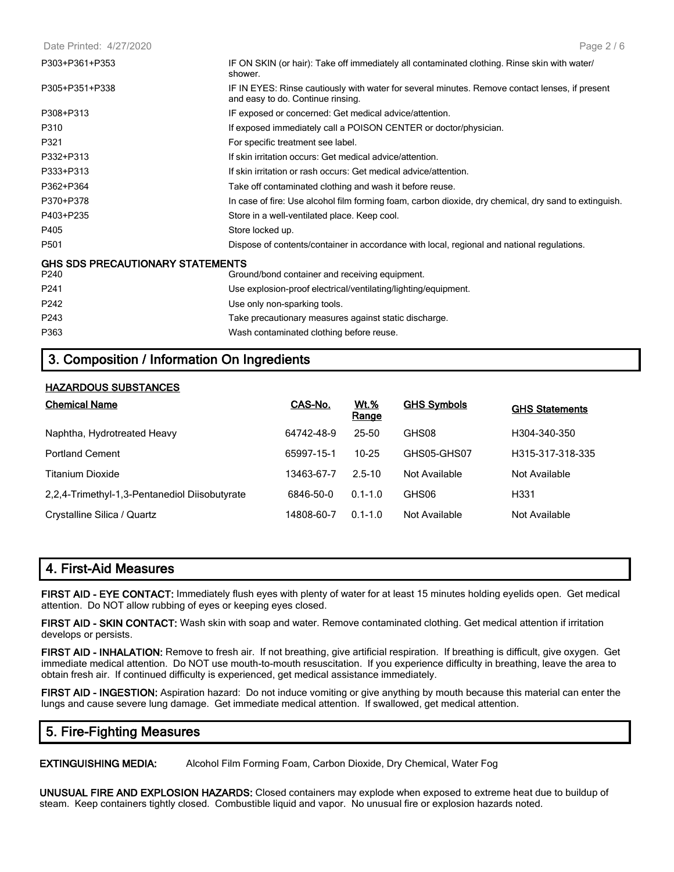#### Date Printed: 4/27/2020

| IF ON SKIN (or hair): Take off immediately all contaminated clothing. Rinse skin with water/<br>shower.                             |
|-------------------------------------------------------------------------------------------------------------------------------------|
| IF IN EYES: Rinse cautiously with water for several minutes. Remove contact lenses, if present<br>and easy to do. Continue rinsing. |
| IF exposed or concerned: Get medical advice/attention.                                                                              |
| If exposed immediately call a POISON CENTER or doctor/physician.                                                                    |
| For specific treatment see label.                                                                                                   |
| If skin irritation occurs: Get medical advice/attention.                                                                            |
| If skin irritation or rash occurs: Get medical advice/attention.                                                                    |
| Take off contaminated clothing and wash it before reuse.                                                                            |
| In case of fire: Use alcohol film forming foam, carbon dioxide, dry chemical, dry sand to extinguish.                               |
| Store in a well-ventilated place. Keep cool.                                                                                        |
| Store locked up.                                                                                                                    |
| Dispose of contents/container in accordance with local, regional and national regulations.                                          |
| <b>GHS SDS PRECAUTIONARY STATEMENTS</b>                                                                                             |
| Ground/bond container and receiving equipment.                                                                                      |
| Use explosion-proof electrical/ventilating/lighting/equipment.                                                                      |
| Use only non-sparking tools.                                                                                                        |
| Take precautionary measures against static discharge.                                                                               |
| Wash contaminated clothing before reuse.                                                                                            |
|                                                                                                                                     |

# **3. Composition / Information On Ingredients**

## **HAZARDOUS SUBSTANCES**

| <b>Chemical Name</b>                          | CAS-No.    | <b>Wt.%</b><br>Range | <b>GHS Symbols</b> | <b>GHS Statements</b> |
|-----------------------------------------------|------------|----------------------|--------------------|-----------------------|
| Naphtha, Hydrotreated Heavy                   | 64742-48-9 | 25-50                | GHS08              | H304-340-350          |
| <b>Portland Cement</b>                        | 65997-15-1 | $10 - 25$            | GHS05-GHS07        | H315-317-318-335      |
| <b>Titanium Dioxide</b>                       | 13463-67-7 | $2.5 - 10$           | Not Available      | Not Available         |
| 2,2,4-Trimethyl-1,3-Pentanediol Diisobutyrate | 6846-50-0  | $0.1 - 1.0$          | GHS06              | H <sub>331</sub>      |
| Crystalline Silica / Quartz                   | 14808-60-7 | $0.1 - 1.0$          | Not Available      | Not Available         |

## **4. First-Aid Measures**

**FIRST AID - EYE CONTACT:** Immediately flush eyes with plenty of water for at least 15 minutes holding eyelids open. Get medical attention. Do NOT allow rubbing of eyes or keeping eyes closed.

**FIRST AID - SKIN CONTACT:** Wash skin with soap and water. Remove contaminated clothing. Get medical attention if irritation develops or persists.

**FIRST AID - INHALATION:** Remove to fresh air. If not breathing, give artificial respiration. If breathing is difficult, give oxygen. Get immediate medical attention. Do NOT use mouth-to-mouth resuscitation. If you experience difficulty in breathing, leave the area to obtain fresh air. If continued difficulty is experienced, get medical assistance immediately.

**FIRST AID - INGESTION:** Aspiration hazard: Do not induce vomiting or give anything by mouth because this material can enter the lungs and cause severe lung damage. Get immediate medical attention. If swallowed, get medical attention.

# **5. Fire-Fighting Measures**

**EXTINGUISHING MEDIA:** Alcohol Film Forming Foam, Carbon Dioxide, Dry Chemical, Water Fog

**UNUSUAL FIRE AND EXPLOSION HAZARDS:** Closed containers may explode when exposed to extreme heat due to buildup of steam. Keep containers tightly closed. Combustible liquid and vapor. No unusual fire or explosion hazards noted.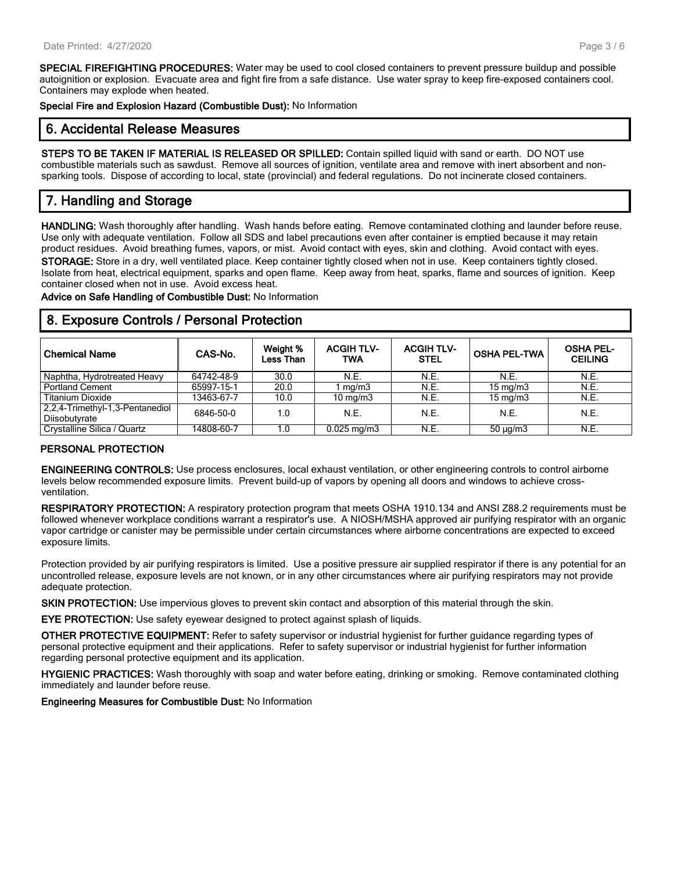**SPECIAL FIREFIGHTING PROCEDURES:** Water may be used to cool closed containers to prevent pressure buildup and possible autoignition or explosion. Evacuate area and fight fire from a safe distance. Use water spray to keep fire-exposed containers cool. Containers may explode when heated.

**Special Fire and Explosion Hazard (Combustible Dust):** No Information

# **6. Accidental Release Measures**

**STEPS TO BE TAKEN IF MATERIAL IS RELEASED OR SPILLED:** Contain spilled liquid with sand or earth. DO NOT use combustible materials such as sawdust. Remove all sources of ignition, ventilate area and remove with inert absorbent and nonsparking tools. Dispose of according to local, state (provincial) and federal regulations. Do not incinerate closed containers.

# **7. Handling and Storage**

**HANDLING:** Wash thoroughly after handling. Wash hands before eating. Remove contaminated clothing and launder before reuse. Use only with adequate ventilation. Follow all SDS and label precautions even after container is emptied because it may retain product residues. Avoid breathing fumes, vapors, or mist. Avoid contact with eyes, skin and clothing. Avoid contact with eyes. **STORAGE:** Store in a dry, well ventilated place. Keep container tightly closed when not in use. Keep containers tightly closed. Isolate from heat, electrical equipment, sparks and open flame. Keep away from heat, sparks, flame and sources of ignition. Keep container closed when not in use. Avoid excess heat.

**Advice on Safe Handling of Combustible Dust:** No Information

## **8. Exposure Controls / Personal Protection**

| <b>Chemical Name</b>                             | CAS-No.    | Weight %<br>Less Than | <b>ACGIH TLV-</b><br>TWA | <b>ACGIH TLV-</b><br><b>STEL</b> | <b>OSHA PEL-TWA</b> | <b>OSHA PEL-</b><br><b>CEILING</b> |
|--------------------------------------------------|------------|-----------------------|--------------------------|----------------------------------|---------------------|------------------------------------|
| Naphtha, Hydrotreated Heavy                      | 64742-48-9 | 30.0                  | N.E.                     | N.E.                             | N.E.                | N.E.                               |
| <b>Portland Cement</b>                           | 65997-15-1 | 20.0                  | mg/m3                    | N.E.                             | $15 \text{ mg/m}$   | N.E.                               |
| <b>Titanium Dioxide</b>                          | 13463-67-7 | 10.0                  | $10 \text{ mg/m}$        | N.E.                             | $15 \text{ mg/m}$   | N.E.                               |
| 2,2,4-Trimethyl-1,3-Pentanediol<br>Diisobutyrate | 6846-50-0  | 1.0                   | N.E.                     | N.E.                             | N.E.                | N.E.                               |
| Crystalline Silica / Quartz                      | 14808-60-7 | 1.0                   | $0.025 \,\mathrm{mg/m3}$ | N.E.                             | $50 \mu q/m3$       | N.E.                               |

## **PERSONAL PROTECTION**

**ENGINEERING CONTROLS:** Use process enclosures, local exhaust ventilation, or other engineering controls to control airborne levels below recommended exposure limits. Prevent build-up of vapors by opening all doors and windows to achieve crossventilation.

**RESPIRATORY PROTECTION:** A respiratory protection program that meets OSHA 1910.134 and ANSI Z88.2 requirements must be followed whenever workplace conditions warrant a respirator's use. A NIOSH/MSHA approved air purifying respirator with an organic vapor cartridge or canister may be permissible under certain circumstances where airborne concentrations are expected to exceed exposure limits.

Protection provided by air purifying respirators is limited. Use a positive pressure air supplied respirator if there is any potential for an uncontrolled release, exposure levels are not known, or in any other circumstances where air purifying respirators may not provide adequate protection.

**SKIN PROTECTION:** Use impervious gloves to prevent skin contact and absorption of this material through the skin.

**EYE PROTECTION:** Use safety eyewear designed to protect against splash of liquids.

**OTHER PROTECTIVE EQUIPMENT:** Refer to safety supervisor or industrial hygienist for further guidance regarding types of personal protective equipment and their applications. Refer to safety supervisor or industrial hygienist for further information regarding personal protective equipment and its application.

**HYGIENIC PRACTICES:** Wash thoroughly with soap and water before eating, drinking or smoking. Remove contaminated clothing immediately and launder before reuse.

**Engineering Measures for Combustible Dust:** No Information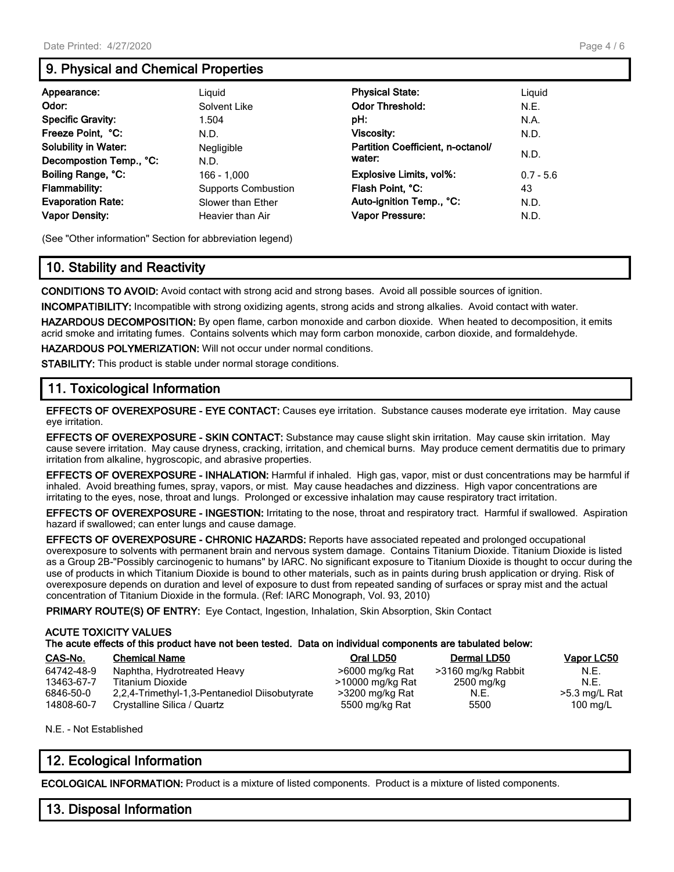# **9. Physical and Chemical Properties**

| Appearance:                 | Liguid                     | <b>Physical State:</b>            | Liguid      |
|-----------------------------|----------------------------|-----------------------------------|-------------|
| Odor:                       | Solvent Like               | <b>Odor Threshold:</b>            | N.E.        |
| <b>Specific Gravity:</b>    | 1.504                      | pH:                               | N.A.        |
| Freeze Point, °C:           | N.D.                       | <b>Viscosity:</b>                 | N.D.        |
| <b>Solubility in Water:</b> | Negligible                 | Partition Coefficient, n-octanol/ |             |
| Decompostion Temp., °C:     | N.D.                       | water:                            | N.D.        |
| Boiling Range, °C:          | 166 - 1.000                | <b>Explosive Limits, vol%:</b>    | $0.7 - 5.6$ |
| <b>Flammability:</b>        | <b>Supports Combustion</b> | Flash Point, °C:                  | 43          |
| <b>Evaporation Rate:</b>    | Slower than Ether          | Auto-ignition Temp., °C:          | N.D.        |
| <b>Vapor Density:</b>       | Heavier than Air           | Vapor Pressure:                   | N.D.        |

(See "Other information" Section for abbreviation legend)

# **10. Stability and Reactivity**

**CONDITIONS TO AVOID:** Avoid contact with strong acid and strong bases. Avoid all possible sources of ignition.

**INCOMPATIBILITY:** Incompatible with strong oxidizing agents, strong acids and strong alkalies. Avoid contact with water.

**HAZARDOUS DECOMPOSITION:** By open flame, carbon monoxide and carbon dioxide. When heated to decomposition, it emits acrid smoke and irritating fumes. Contains solvents which may form carbon monoxide, carbon dioxide, and formaldehyde.

**HAZARDOUS POLYMERIZATION:** Will not occur under normal conditions.

**STABILITY:** This product is stable under normal storage conditions.

# **11. Toxicological Information**

**EFFECTS OF OVEREXPOSURE - EYE CONTACT:** Causes eye irritation. Substance causes moderate eye irritation. May cause eye irritation.

**EFFECTS OF OVEREXPOSURE - SKIN CONTACT:** Substance may cause slight skin irritation. May cause skin irritation. May cause severe irritation. May cause dryness, cracking, irritation, and chemical burns. May produce cement dermatitis due to primary irritation from alkaline, hygroscopic, and abrasive properties.

**EFFECTS OF OVEREXPOSURE - INHALATION:** Harmful if inhaled. High gas, vapor, mist or dust concentrations may be harmful if inhaled. Avoid breathing fumes, spray, vapors, or mist. May cause headaches and dizziness. High vapor concentrations are irritating to the eyes, nose, throat and lungs. Prolonged or excessive inhalation may cause respiratory tract irritation.

**EFFECTS OF OVEREXPOSURE - INGESTION:** Irritating to the nose, throat and respiratory tract. Harmful if swallowed. Aspiration hazard if swallowed; can enter lungs and cause damage.

**EFFECTS OF OVEREXPOSURE - CHRONIC HAZARDS:** Reports have associated repeated and prolonged occupational overexposure to solvents with permanent brain and nervous system damage. Contains Titanium Dioxide. Titanium Dioxide is listed as a Group 2B-"Possibly carcinogenic to humans" by IARC. No significant exposure to Titanium Dioxide is thought to occur during the use of products in which Titanium Dioxide is bound to other materials, such as in paints during brush application or drying. Risk of overexposure depends on duration and level of exposure to dust from repeated sanding of surfaces or spray mist and the actual concentration of Titanium Dioxide in the formula. (Ref: IARC Monograph, Vol. 93, 2010)

**PRIMARY ROUTE(S) OF ENTRY:** Eye Contact, Ingestion, Inhalation, Skin Absorption, Skin Contact

## **ACUTE TOXICITY VALUES**

|  | The acute effects of this product have not been tested. Data on individual components are tabulated below: |
|--|------------------------------------------------------------------------------------------------------------|
|--|------------------------------------------------------------------------------------------------------------|

| CAS-No.    | <b>Chemical Name</b>                          | Oral LD50        | Dermal LD50        | Vapor LC50      |
|------------|-----------------------------------------------|------------------|--------------------|-----------------|
| 64742-48-9 | Naphtha, Hydrotreated Heavy                   | >6000 mg/kg Rat  | >3160 mg/kg Rabbit | N.E.            |
| 13463-67-7 | Titanium Dioxide                              | >10000 mg/kg Rat | 2500 mg/kg         | N.F.            |
| 6846-50-0  | 2,2,4-Trimethyl-1,3-Pentanediol Diisobutyrate | >3200 mg/kg Rat  | N.E.               | $>5.3$ mg/L Rat |
| 14808-60-7 | Crystalline Silica / Quartz                   | 5500 mg/kg Rat   | 5500               | 100 mg/L        |

N.E. - Not Established

# **12. Ecological Information**

**ECOLOGICAL INFORMATION:** Product is a mixture of listed components. Product is a mixture of listed components.

# **13. Disposal Information**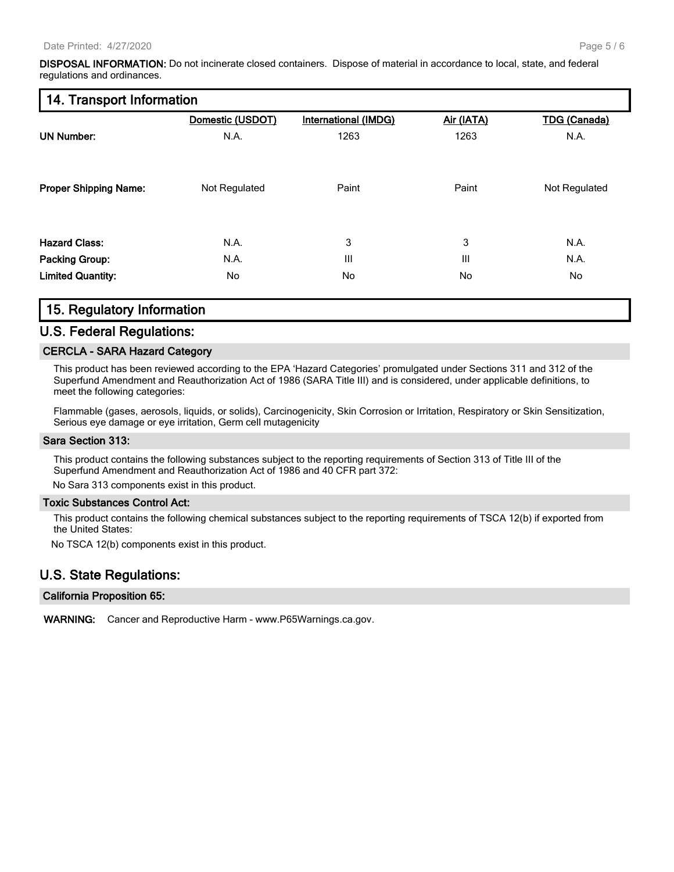**DISPOSAL INFORMATION:** Do not incinerate closed containers. Dispose of material in accordance to local, state, and federal regulations and ordinances.

## **14. Transport Information**

|                              | Domestic (USDOT) | International (IMDG) | Air (IATA) | <b>TDG (Canada)</b> |
|------------------------------|------------------|----------------------|------------|---------------------|
| <b>UN Number:</b>            | N.A.             | 1263                 | 1263       | N.A.                |
| <b>Proper Shipping Name:</b> | Not Regulated    | Paint                | Paint      | Not Regulated       |
|                              |                  |                      |            |                     |
| <b>Hazard Class:</b>         | N.A.             | 3                    | 3          | N.A.                |
| <b>Packing Group:</b>        | N.A.             | Ш                    | III        | N.A.                |
| <b>Limited Quantity:</b>     | No               | No                   | No         | No                  |

# **15. Regulatory Information**

## **U.S. Federal Regulations:**

## **CERCLA - SARA Hazard Category**

This product has been reviewed according to the EPA 'Hazard Categories' promulgated under Sections 311 and 312 of the Superfund Amendment and Reauthorization Act of 1986 (SARA Title III) and is considered, under applicable definitions, to meet the following categories:

Flammable (gases, aerosols, liquids, or solids), Carcinogenicity, Skin Corrosion or Irritation, Respiratory or Skin Sensitization, Serious eye damage or eye irritation, Germ cell mutagenicity

#### **Sara Section 313:**

This product contains the following substances subject to the reporting requirements of Section 313 of Title III of the Superfund Amendment and Reauthorization Act of 1986 and 40 CFR part 372:

No Sara 313 components exist in this product.

## **Toxic Substances Control Act:**

This product contains the following chemical substances subject to the reporting requirements of TSCA 12(b) if exported from the United States:

No TSCA 12(b) components exist in this product.

# **U.S. State Regulations:**

## **California Proposition 65:**

**WARNING:** Cancer and Reproductive Harm - www.P65Warnings.ca.gov.